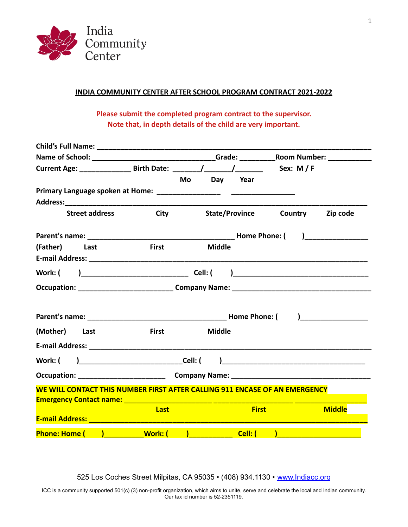

# **INDIA COMMUNITY CENTER AFTER SCHOOL PROGRAM CONTRACT 2021-2022**

**Please submit the completed program contract to the supervisor. Note that, in depth details of the child are very important.**

|                                                                                                 |                                                                                                                                                                                                                                |             | Mo Day Year           |                |                                   |
|-------------------------------------------------------------------------------------------------|--------------------------------------------------------------------------------------------------------------------------------------------------------------------------------------------------------------------------------|-------------|-----------------------|----------------|-----------------------------------|
|                                                                                                 |                                                                                                                                                                                                                                |             |                       |                |                                   |
|                                                                                                 |                                                                                                                                                                                                                                |             |                       |                |                                   |
| <b>Street address</b>                                                                           |                                                                                                                                                                                                                                | <b>City</b> | <b>State/Province</b> | <b>Country</b> | Zip code                          |
|                                                                                                 |                                                                                                                                                                                                                                |             |                       |                | $\begin{array}{c} \n \end{array}$ |
| (Father) Last                                                                                   | <b>First</b>                                                                                                                                                                                                                   |             | <b>Middle</b>         |                |                                   |
|                                                                                                 |                                                                                                                                                                                                                                |             |                       |                |                                   |
|                                                                                                 |                                                                                                                                                                                                                                |             |                       |                |                                   |
|                                                                                                 |                                                                                                                                                                                                                                |             |                       |                |                                   |
|                                                                                                 |                                                                                                                                                                                                                                |             |                       |                |                                   |
|                                                                                                 |                                                                                                                                                                                                                                |             | <b>Home Phone: (</b>  |                |                                   |
| (Mother) Last                                                                                   | <b>First</b>                                                                                                                                                                                                                   |             | <b>Middle</b>         |                |                                   |
|                                                                                                 |                                                                                                                                                                                                                                |             |                       |                |                                   |
| Work: (                                                                                         | and the contract of the contract of the contract of the contract of the contract of the contract of the contract of the contract of the contract of the contract of the contract of the contract of the contract of the contra |             |                       |                |                                   |
|                                                                                                 |                                                                                                                                                                                                                                |             |                       |                |                                   |
| WE WILL CONTACT THIS NUMBER FIRST AFTER CALLING 911 ENCASE OF AN EMERGENCY                      |                                                                                                                                                                                                                                |             |                       |                |                                   |
|                                                                                                 |                                                                                                                                                                                                                                |             |                       |                |                                   |
|                                                                                                 | Last                                                                                                                                                                                                                           |             | <b>First</b>          |                | <b>Middle</b>                     |
| E-mail Address: 2008 2009 2009 2009 2009 2010 2021 2022 2023 2024 2024 2024 2024 2024 2022 2023 |                                                                                                                                                                                                                                |             |                       |                |                                   |
| Phone: Home ( and a book: ( a book: (                                                           |                                                                                                                                                                                                                                |             |                       |                |                                   |

525 Los Coches Street Milpitas, CA 95035 • (408) 934.1130 • [www.Indiacc.org](http://www.indiacc.org/)

ICC is a community supported 501(c) (3) non-profit organization, which aims to unite, serve and celebrate the local and Indian community. Our tax id number is 52-2351119.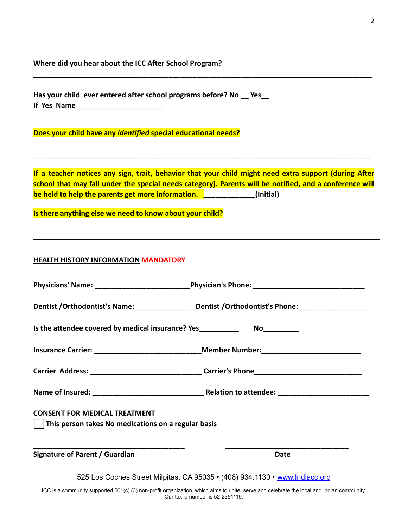**Where did you hear about the ICC After School Program?**

**Has your child ever entered after school programs before? No \_\_ Yes\_\_ If Yes Name\_\_\_\_\_\_\_\_\_\_\_\_\_\_\_\_\_\_\_\_\_\_**

**Does your child have any** *identified* **special educational needs?**

**If a teacher notices any sign, trait, behavior that your child might need extra support (during After school that may fall under the special needs category). Parents will be notified, and a conference will be held to help the parents get more information. The late of the limitial**)

**\_\_\_\_\_\_\_\_\_\_\_\_\_\_\_\_\_\_\_\_\_\_\_\_\_\_\_\_\_\_\_\_\_\_\_\_\_\_\_\_\_\_\_\_\_\_\_\_\_\_\_\_\_\_\_\_\_\_\_\_\_\_\_\_\_\_\_\_\_\_\_\_\_\_\_\_\_\_\_\_\_\_\_\_\_**

**\_\_\_\_\_\_\_\_\_\_\_\_\_\_\_\_\_\_\_\_\_\_\_\_\_\_\_\_\_\_\_\_\_\_\_\_\_\_\_\_\_\_\_\_\_\_\_\_\_\_\_\_\_\_\_\_\_\_\_\_\_\_\_\_\_\_\_\_\_\_\_\_\_\_\_\_\_\_\_\_\_\_\_\_\_**

**Is there anything else we need to know about your child?**

#### **HEALTH HISTORY INFORMATION MANDATORY**

|                                                                                                     | Dentist / Orthodontist's Name: ___________________Dentist / Orthodontist's Phone: _________________ |  |  |  |
|-----------------------------------------------------------------------------------------------------|-----------------------------------------------------------------------------------------------------|--|--|--|
| Is the attendee covered by medical insurance? Yes________________________________                   |                                                                                                     |  |  |  |
|                                                                                                     |                                                                                                     |  |  |  |
|                                                                                                     |                                                                                                     |  |  |  |
|                                                                                                     |                                                                                                     |  |  |  |
| <b>CONSENT FOR MEDICAL TREATMENT</b><br>$\vert$ This person takes No medications on a regular basis |                                                                                                     |  |  |  |
| Signature of Parent / Guardian                                                                      | Date                                                                                                |  |  |  |
|                                                                                                     | 525 Lee Coebee Street Milnitee, CA 05025 + (400) 024 1120 + www.indiace.org                         |  |  |  |

525 Los Coches Street Milpitas, CA 95035 • (408) 934.1130 • [www.Indiacc.org](http://www.indiacc.org/)

ICC is a community supported 501(c) (3) non-profit organization, which aims to unite, serve and celebrate the local and Indian community. Our tax id number is 52-2351119.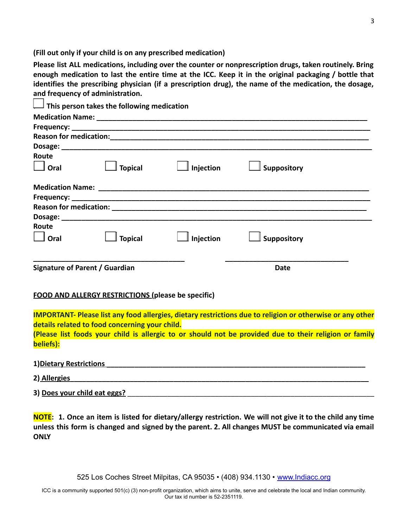**(Fill out only if your child is on any prescribed medication)**

**Please list ALL medications, including over the counter or nonprescription drugs, taken routinely. Bring** enough medication to last the entire time at the ICC. Keep it in the original packaging / bottle that **identifies the prescribing physician (if a prescription drug), the name of the medication, the dosage, and frequency of administration.**

|                                      | This person takes the following medication                |                       |                                                                                                                                                                                                                            |
|--------------------------------------|-----------------------------------------------------------|-----------------------|----------------------------------------------------------------------------------------------------------------------------------------------------------------------------------------------------------------------------|
|                                      |                                                           |                       |                                                                                                                                                                                                                            |
|                                      |                                                           |                       |                                                                                                                                                                                                                            |
|                                      |                                                           |                       |                                                                                                                                                                                                                            |
|                                      |                                                           |                       |                                                                                                                                                                                                                            |
| Route                                |                                                           |                       |                                                                                                                                                                                                                            |
| $\Box$ Oral                          | $\mathbb I$ Topical                                       | $\Box$ Injection      | $\mathbb I$ Suppository                                                                                                                                                                                                    |
|                                      |                                                           |                       |                                                                                                                                                                                                                            |
|                                      |                                                           |                       |                                                                                                                                                                                                                            |
|                                      |                                                           |                       |                                                                                                                                                                                                                            |
|                                      |                                                           |                       |                                                                                                                                                                                                                            |
| Route                                |                                                           |                       |                                                                                                                                                                                                                            |
| $\Box$ Oral                          | $\mathbb I$ Topical                                       | $\mathbb I$ Injection | $\mathbb I$ Suppository                                                                                                                                                                                                    |
| Signature of Parent / Guardian       |                                                           |                       | <b>Date</b>                                                                                                                                                                                                                |
|                                      | <b>FOOD AND ALLERGY RESTRICTIONS (please be specific)</b> |                       |                                                                                                                                                                                                                            |
|                                      | details related to food concerning your child.            |                       | <b>IMPORTANT- Please list any food allergies, dietary restrictions due to religion or otherwise or any other</b><br>(Please list foods your child is allergic to or should not be provided due to their religion or family |
| beliefs):<br>1) Dietary Restrictions |                                                           |                       |                                                                                                                                                                                                                            |
|                                      |                                                           |                       |                                                                                                                                                                                                                            |
| 2) Allergies                         |                                                           |                       |                                                                                                                                                                                                                            |
| 3) Does your child eat eggs?         |                                                           |                       |                                                                                                                                                                                                                            |

NOTE: 1. Once an item is listed for dietary/allergy restriction. We will not give it to the child any time unless this form is changed and signed by the parent. 2. All changes MUST be communicated via email **ONLY**

525 Los Coches Street Milpitas, CA 95035 • (408) 934.1130 • [www.Indiacc.org](http://www.indiacc.org/)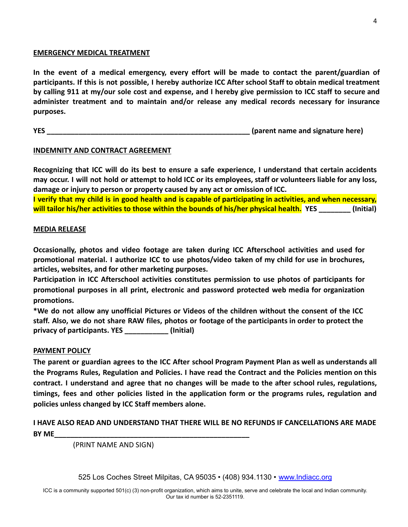### **EMERGENCY MEDICAL TREATMENT**

**In the event of a medical emergency, every effort will be made to contact the parent/guardian of** participants. If this is not possible, I hereby authorize ICC After school Staff to obtain medical treatment by calling 911 at my/our sole cost and expense, and I hereby give permission to ICC staff to secure and **administer treatment and to maintain and/or release any medical records necessary for insurance purposes.**

**YES** *WES WES MES MES MES MES MES MES MES MES MES MES MES MES MES MES MES MES MES MES MES MES MES MES MES MES MES*

# **INDEMNITY AND CONTRACT AGREEMENT**

**Recognizing that ICC will do its best to ensure a safe experience, I understand that certain accidents** may occur. I will not hold or attempt to hold ICC or its employees, staff or volunteers liable for any loss, **damage or injury to person or property caused by any act or omission of ICC.**

I verify that my child is in good health and is capable of participating in activities, and when necessary, **will tailor his/her activities to those within the bounds of his/her physical health. YES \_\_\_\_\_\_\_\_ (Initial)**

### **MEDIA RELEASE**

**Occasionally, photos and video footage are taken during ICC Afterschool activities and used for promotional material. I authorize ICC to use photos/video taken of my child for use in brochures, articles, websites, and for other marketing purposes.**

**Participation in ICC Afterschool activities constitutes permission to use photos of participants for promotional purposes in all print, electronic and password protected web media for organization promotions.**

**\*We do not allow any unofficial Pictures or Videos of the children without the consent of the ICC** staff. Also, we do not share RAW files, photos or footage of the participants in order to protect the **privacy of participants. YES \_\_\_\_\_\_\_\_\_\_\_ (Initial)**

### **PAYMENT POLICY**

The parent or guardian agrees to the ICC After school Program Payment Plan as well as understands all **the Programs Rules, Regulation and Policies. I have read the Contract and the Policies mention on this contract. I understand and agree that no changes will be made to the after school rules, regulations, timings, fees and other policies listed in the application form or the programs rules, regulation and policies unless changed by ICC Staff members alone.**

# **I HAVE ALSO READ AND UNDERSTAND THAT THERE WILL BE NO REFUNDS IF CANCELLATIONS ARE MADE BY ME\_\_\_\_\_\_\_\_\_\_\_\_\_\_\_\_\_\_\_\_\_\_\_\_\_\_\_\_\_\_\_\_\_\_\_\_\_\_\_\_\_\_\_\_\_\_\_\_\_**

(PRINT NAME AND SIGN)

525 Los Coches Street Milpitas, CA 95035 • (408) 934.1130 • [www.Indiacc.org](http://www.indiacc.org/)

ICC is a community supported 501(c) (3) non-profit organization, which aims to unite, serve and celebrate the local and Indian community. Our tax id number is 52-2351119.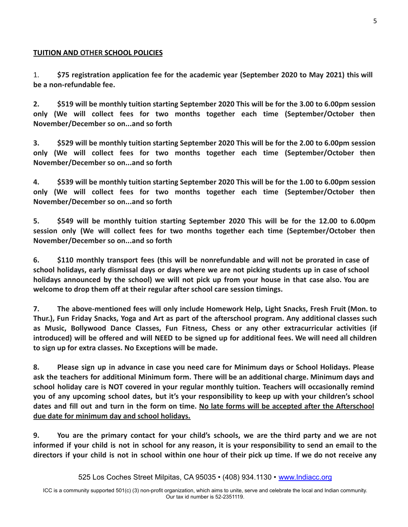# **TUITION AND OTHER SCHOOL POLICIES**

1. **\$75 registration application fee for the academic year (September 2020 to May 2021) this will be a non-refundable fee.**

2. \$519 will be monthly tuition starting September 2020 This will be for the 3.00 to 6.00pm session **only (We will collect fees for two months together each time (September/October then November/December so on...and so forth**

3. \$529 will be monthly tuition starting September 2020 This will be for the 2.00 to 6.00pm session **only (We will collect fees for two months together each time (September/October then November/December so on...and so forth**

4. \$539 will be monthly tuition starting September 2020 This will be for the 1.00 to 6.00pm session **only (We will collect fees for two months together each time (September/October then November/December so on...and so forth**

**5. \$549 will be monthly tuition starting September 2020 This will be for the 12.00 to 6.00pm session only (We will collect fees for two months together each time (September/October then November/December so on...and so forth**

**6. \$110 monthly transport fees (this will be nonrefundable and will not be prorated in case of** school holidays, early dismissal days or days where we are not picking students up in case of school holidays announced by the school) we will not pick up from your house in that case also. You are **welcome to drop them off at their regular after school care session timings.**

**7. The above-mentioned fees will only include Homework Help, Light Snacks, Fresh Fruit (Mon. to Thur.), Fun Friday Snacks, Yoga and Art as part of the afterschool program. Any additional classes such as Music, Bollywood Dance Classes, Fun Fitness, Chess or any other extracurricular activities (if** introduced) will be offered and will NEED to be signed up for additional fees. We will need all children **to sign up for extra classes. No Exceptions will be made.**

**8. Please sign up in advance in case you need care for Minimum days or School Holidays. Please ask the teachers for additional Minimum form. There will be an additional charge. Minimum days and school holiday care is NOT covered in your regular monthly tuition. Teachers will occasionally remind you of any upcoming school dates, but it's your responsibility to keep up with your children's school** dates and fill out and turn in the form on time. No late forms will be accepted after the Afterschool **due date for minimum day and school holidays.**

9. You are the primary contact for your child's schools, we are the third party and we are not informed if your child is not in school for any reason, it is your responsibility to send an email to the directors if your child is not in school within one hour of their pick up time. If we do not receive any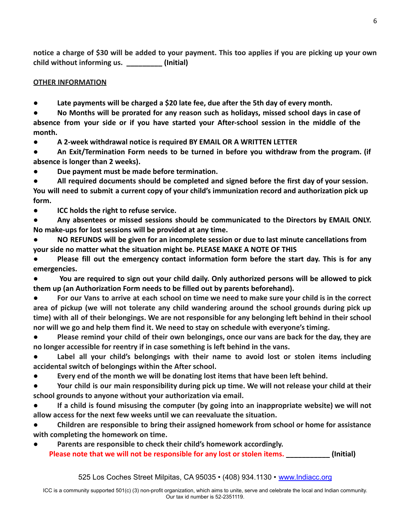notice a charge of \$30 will be added to your payment. This too applies if you are picking up your own **child without informing us. \_\_\_\_\_\_\_\_\_ (Initial)**

# **OTHER INFORMATION**

● **Late payments will be charged a \$20 late fee, due after the 5th day of every month.**

● **No Months will be prorated for any reason such as holidays, missed school days in case of absence from your side or if you have started your After-school session in the middle of the month.**

● **A 2-week withdrawal notice is required BY EMAIL OR A WRITTEN LETTER**

● **An Exit/Termination Form needs to be turned in before you withdraw from the program. (if absence is longer than 2 weeks).**

Due payment must be made before termination.

● **All required documents should be completed and signed before the first day of your session. You will need to submit a current copy of your child's immunization record and authorization pick up form.**

**ICC holds the right to refuse service.** 

● **Any absentees or missed sessions should be communicated to the Directors by EMAIL ONLY. No make-ups for lost sessions will be provided at any time.**

● **NO REFUNDS will be given for an incomplete session or due to last minute cancellations from your side no matter what the situation might be. PLEASE MAKE A NOTE OF THIS**

● **Please fill out the emergency contact information form before the start day. This is for any emergencies.**

● **You are required to sign out your child daily. Only authorized persons will be allowed to pick them up (an Authorization Form needs to be filled out by parents beforehand).**

For our Vans to arrive at each school on time we need to make sure your child is in the correct **area of pickup (we will not tolerate any child wandering around the school grounds during pick up** time) with all of their belongings. We are not responsible for any belonging left behind in their school **nor will we go and help them find it. We need to stay on schedule with everyone's timing.**

● **Please remind your child of their own belongings, once our vans are back for the day, they are no longer accessible for reentry if in case something is left behind in the vans.**

● **Label all your child's belongings with their name to avoid lost or stolen items including accidental switch of belongings within the After school.**

Every end of the month we will be donating lost items that have been left behind.

Your child is our main responsibility during pick up time. We will not release your child at their **school grounds to anyone without your authorization via email.**

● **If a child is found misusing the computer (by going into an inappropriate website) we will not allow access for the next few weeks until we can reevaluate the situation.**

● **Children are responsible to bring their assigned homework from school or home for assistance with completing the homework on time.**

Parents are responsible to check their child's homework accordingly. **Please note that we will not be responsible for any lost or stolen items. \_\_\_\_\_\_\_\_\_\_\_ (Initial)**

525 Los Coches Street Milpitas, CA 95035 • (408) 934.1130 • [www.Indiacc.org](http://www.indiacc.org/)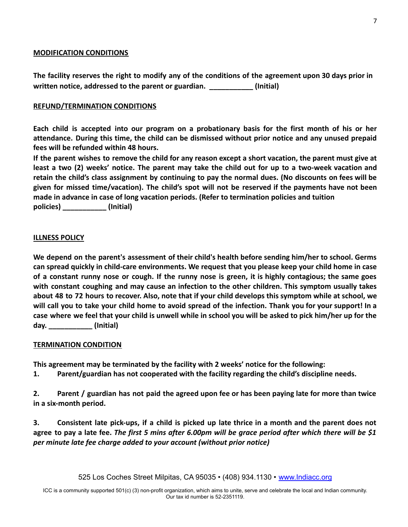### **MODIFICATION CONDITIONS**

The facility reserves the right to modify any of the conditions of the agreement upon 30 days prior in **written notice, addressed to the parent or guardian. \_\_\_\_\_\_\_\_\_\_\_ (Initial)**

### **REFUND/TERMINATION CONDITIONS**

Each child is accepted into our program on a probationary basis for the first month of his or her **attendance. During this time, the child can be dismissed without prior notice and any unused prepaid fees will be refunded within 48 hours.**

If the parent wishes to remove the child for any reason except a short vacation, the parent must give at least a two (2) weeks' notice. The parent may take the child out for up to a two-week vacation and retain the child's class assignment by continuing to pay the normal dues. (No discounts on fees will be **given for missed time/vacation). The child's spot will not be reserved if the payments have not been made in advance in case of long vacation periods. (Refer to termination policies and tuition policies) \_\_\_\_\_\_\_\_\_\_\_ (Initial)**

### **ILLNESS POLICY**

**We depend on the parent's assessment of their child's health before sending him/her to school. Germs can spread quickly in child-care environments. We request that you please keep your child home in case** of a constant runny nose or cough. If the runny nose is green, it is highly contagious; the same goes **with constant coughing and may cause an infection to the other children. This symptom usually takes** about 48 to 72 hours to recover. Also, note that if your child develops this symptom while at school, we will call you to take your child home to avoid spread of the infection. Thank you for your support! In a case where we feel that your child is unwell while in school you will be asked to pick him/her up for the **day. \_\_\_\_\_\_\_\_\_\_\_ (Initial)**

#### **TERMINATION CONDITION**

**This agreement may be terminated by the facility with 2 weeks' notice for the following:**

**1. Parent/guardian has not cooperated with the facility regarding the child's discipline needs.**

2. Parent / guardian has not paid the agreed upon fee or has been paying late for more than twice **in a six-month period.**

3. Consistent late pick-ups, if a child is picked up late thrice in a month and the parent does not agree to pay a late fee. The first 5 mins after 6.00pm will be grace period after which there will be \$1 *per minute late fee charge added to your account (without prior notice)*

525 Los Coches Street Milpitas, CA 95035 • (408) 934.1130 • [www.Indiacc.org](http://www.indiacc.org/)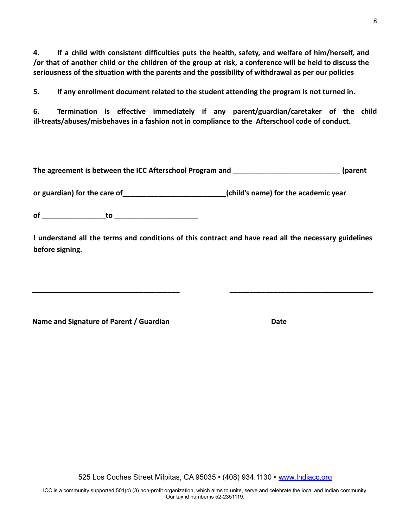**4. If a child with consistent difficulties puts the health, safety, and welfare of him/herself, and** or that of another child or the children of the group at risk, a conference will be held to discuss the **seriousness of the situation with the parents and the possibility of withdrawal as per our policies**

**5. If any enrollment document related to the student attending the program is not turned in.**

**6. Termination is effective immediately if any parent/guardian/caretaker of the child ill-treats/abuses/misbehaves in a fashion not in compliance to the Afterschool code of conduct.**

**The agreement is between the ICC Afterschool Program and \_\_\_\_\_\_\_\_\_\_\_\_\_\_\_\_\_\_\_\_\_\_\_\_\_\_\_ (parent**

**or guardian) for the care of\_\_\_\_\_\_\_\_\_\_\_\_\_\_\_\_\_\_\_\_\_\_\_\_\_\_(child's name) for the academic year**

**of \_\_\_\_\_\_\_\_\_\_\_\_\_\_\_\_to \_\_\_\_\_\_\_\_\_\_\_\_\_\_\_\_\_\_\_\_\_**

**I understand all the terms and conditions of this contract and have read all the necessary guidelines before signing.**

**\_\_\_\_\_\_\_\_\_\_\_\_\_\_\_\_\_\_\_\_\_\_\_\_\_\_\_\_\_\_\_\_\_\_\_\_\_ \_\_\_\_\_\_\_\_\_\_\_\_\_\_\_\_\_\_\_\_\_\_\_\_\_\_\_\_\_\_\_\_\_\_\_\_**

**Name and Signature of Parent / Guardian Date**

525 Los Coches Street Milpitas, CA 95035 • (408) 934.1130 • [www.Indiacc.org](http://www.indiacc.org/)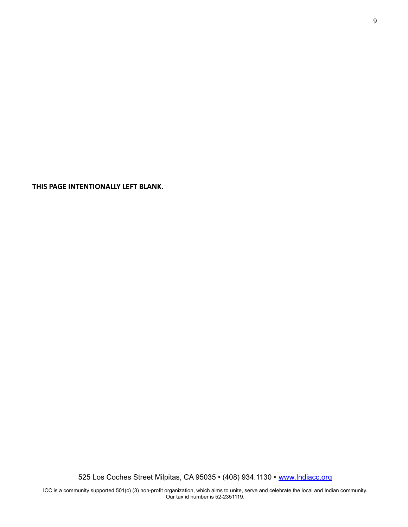**THIS PAGE INTENTIONALLY LEFT BLANK.**

525 Los Coches Street Milpitas, CA 95035 • (408) 934.1130 • [www.Indiacc.org](http://www.indiacc.org/)